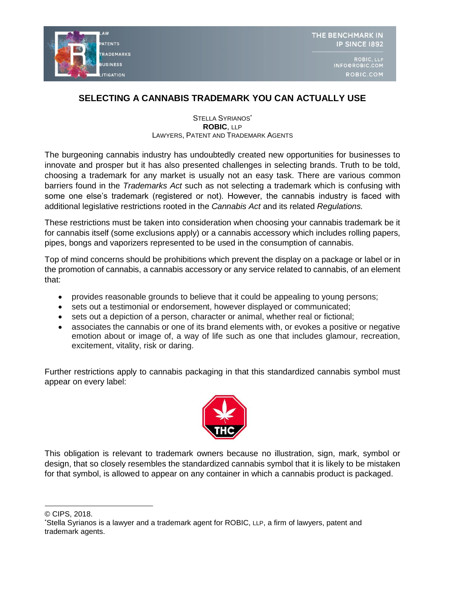

## **SELECTING A CANNABIS TRADEMARK YOU CAN ACTUALLY USE**

## STELLA SYRIANOS<sup>\*</sup> **ROBIC**, LLP LAWYERS, PATENT AND TRADEMARK AGENTS

The burgeoning cannabis industry has undoubtedly created new opportunities for businesses to innovate and prosper but it has also presented challenges in selecting brands. Truth to be told, choosing a trademark for any market is usually not an easy task. There are various common barriers found in the *Trademarks Act* such as not selecting a trademark which is confusing with some one else's trademark (registered or not). However, the cannabis industry is faced with additional legislative restrictions rooted in the *Cannabis Act* and its related *Regulations.* 

These restrictions must be taken into consideration when choosing your cannabis trademark be it for cannabis itself (some exclusions apply) or a cannabis accessory which includes rolling papers, pipes, bongs and vaporizers represented to be used in the consumption of cannabis.

Top of mind concerns should be prohibitions which prevent the display on a package or label or in the promotion of cannabis, a cannabis accessory or any service related to cannabis, of an element that:

- provides reasonable grounds to believe that it could be appealing to young persons;
- sets out a testimonial or endorsement, however displayed or communicated;
- sets out a depiction of a person, character or animal, whether real or fictional;
- associates the cannabis or one of its brand elements with, or evokes a positive or negative emotion about or image of, a way of life such as one that includes glamour, recreation, excitement, vitality, risk or daring.

Further restrictions apply to cannabis packaging in that this standardized cannabis symbol must appear on every label:



This obligation is relevant to trademark owners because no illustration, sign, mark, symbol or design, that so closely resembles the standardized cannabis symbol that it is likely to be mistaken for that symbol, is allowed to appear on any container in which a cannabis product is packaged.

<sup>©</sup> CIPS, 2018.

<sup>\*</sup>Stella Syrianos is a lawyer and a trademark agent for ROBIC, LLP, a firm of lawyers, patent and trademark agents.